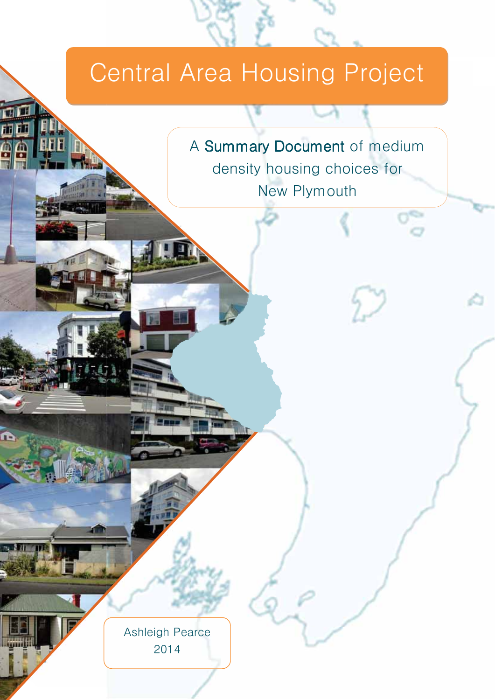# Central Area Housing Project

A Summary Document of medium density housing choices for **New Plymouth** 

**Ashleigh Pearce** 2014

面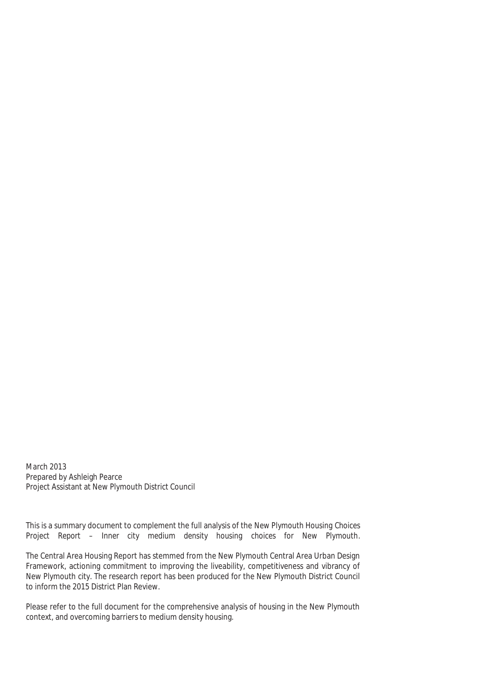March 2013 Prepared by Ashleigh Pearce Project Assistant at New Plymouth District Council

This is a summary document to complement the full analysis of the *New Plymouth Housing Choices Project Report – Inner city medium density housing choices for New Plymouth*.

The Central Area Housing Report has stemmed from the New Plymouth Central Area Urban Design Framework, actioning commitment to improving the liveability, competitiveness and vibrancy of New Plymouth city. The research report has been produced for the New Plymouth District Council to inform the 2015 District Plan Review.

Please refer to the full document for the comprehensive analysis of housing in the New Plymouth context, and overcoming barriers to medium density housing.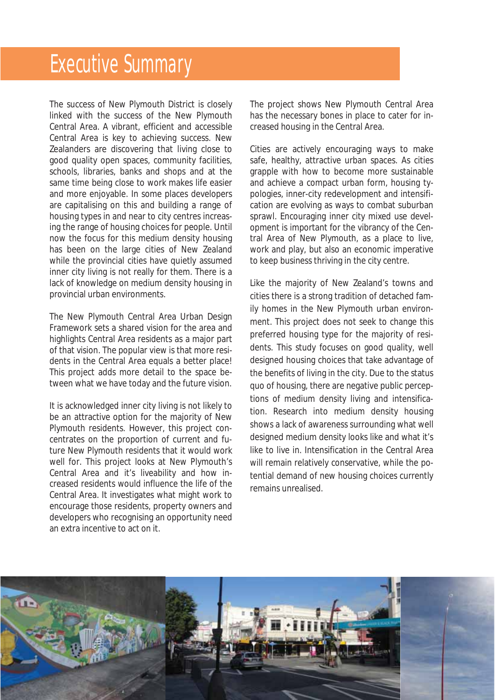### Executive Summary

The success of New Plymouth District is closely linked with the success of the New Plymouth Central Area. A vibrant, efficient and accessible Central Area is key to achieving success. New Zealanders are discovering that living close to good quality open spaces, community facilities, schools, libraries, banks and shops and at the same time being close to work makes life easier and more enjoyable. In some places developers are capitalising on this and building a range of housing types in and near to city centres increasing the range of housing choices for people. Until now the focus for this medium density housing has been on the large cities of New Zealand while the provincial cities have quietly assumed inner city living is not really for them. There is a lack of knowledge on medium density housing in provincial urban environments.

The New Plymouth Central Area Urban Design Framework sets a shared vision for the area and highlights Central Area residents as a major part of that vision. The popular view is that more residents in the Central Area equals a better place! This project adds more detail to the space between what we have today and the future vision.

It is acknowledged inner city living is not likely to be an attractive option for the majority of New Plymouth residents. However, this project concentrates on the proportion of current and future New Plymouth residents that it would work well for. This project looks at New Plymouth's Central Area and it's liveability and how increased residents would influence the life of the Central Area. It investigates what might work to encourage those residents, property owners and developers who recognising an opportunity need an extra incentive to act on it.

The project shows New Plymouth Central Area has the necessary bones in place to cater for increased housing in the Central Area.

Cities are actively encouraging ways to make safe, healthy, attractive urban spaces. As cities grapple with how to become more sustainable and achieve a compact urban form, housing typologies, inner-city redevelopment and intensification are evolving as ways to combat suburban sprawl. Encouraging inner city mixed use development is important for the vibrancy of the Central Area of New Plymouth, as a place to live, work and play, but also an economic imperative to keep business thriving in the city centre.

Like the majority of New Zealand's towns and cities there is a strong tradition of detached family homes in the New Plymouth urban environment. This project does not seek to change this preferred housing type for the majority of residents. This study focuses on good quality, well designed housing choices that take advantage of the benefits of living in the city. Due to the status quo of housing, there are negative public perceptions of medium density living and intensification. Research into medium density housing shows a lack of awareness surrounding what well designed medium density looks like and what it's like to live in. Intensification in the Central Area will remain relatively conservative, while the potential demand of new housing choices currently remains unrealised.

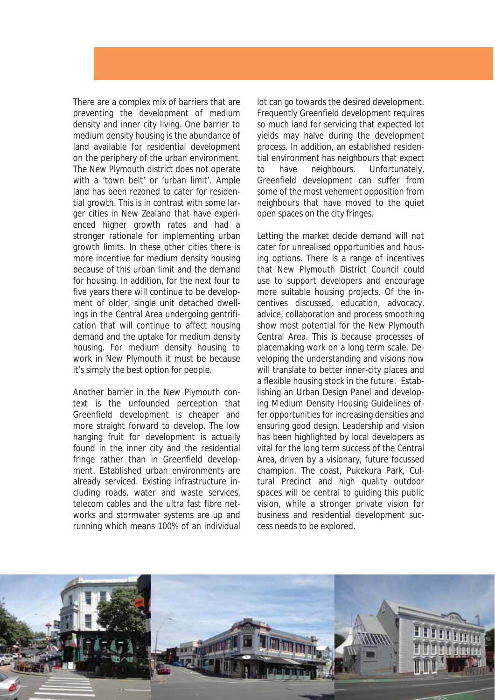There are a complex mix of barriers that are preventing the development of medium density and inner city living. One barrier to medium density housing is the abundance of land available for residential development on the periphery of the urban environment. The New Plymouth district does not operate with a 'town belt' or 'urban limit'. Ample land has been rezoned to cater for residential growth. This is in contrast with some larger cities in New Zealand that have experienced higher growth rates and had a stronger rationale for implementing urban growth limits. In these other cities there is more incentive for medium density housing because of this urban limit and the demand for housing. In addition, for the next four to five years there will continue to be development of older, single unit detached dwellings in the Central Area undergoing gentrification that will continue to affect housing demand and the uptake for medium density housing. For medium density housing to work in New Plymouth it must be because it's simply the best option for people.

Another barrier in the New Plymouth context is the unfounded perception that Greenfield development is cheaper and more straight forward to develop. The low hanging fruit for development is actually found in the inner city and the residential fringe rather than in Greenfield development. Established urban environments are already serviced. Existing infrastructure including roads, water and waste services, telecom cables and the ultra fast fibre networks and stormwater systems are up and running which means 100% of an individual

lot can go towards the desired development. Frequently Greenfield development requires so much land for servicing that expected lot yields may halve during the development process. In addition, an established residential environment has neighbours that expect to have neighbours. Unfortunately, Greenfield development can suffer from some of the most vehement opposition from neighbours that have moved to the quiet open spaces on the city fringes.

Letting the market decide demand will not cater for unrealised opportunities and housing options. There is a range of incentives that New Plymouth District Council could use to support developers and encourage more suitable housing projects. Of the incentives discussed, education, advocacy, advice, collaboration and process smoothing show most potential for the New Plymouth Central Area. This is because processes of placemaking work on a long term scale. Developing the understanding and visions now will translate to better inner-city places and a flexible housing stock in the future. Establishing an Urban Design Panel and developing Medium Density Housing Guidelines offer opportunities for increasing densities and ensuring good design. Leadership and vision has been highlighted by local developers as vital for the long term success of the Central Area, driven by a visionary, future focussed champion. The coast, Pukekura Park, Cultural Precinct and high quality outdoor spaces will be central to guiding this public vision, while a stronger private vision for business and residential development success needs to be explored.

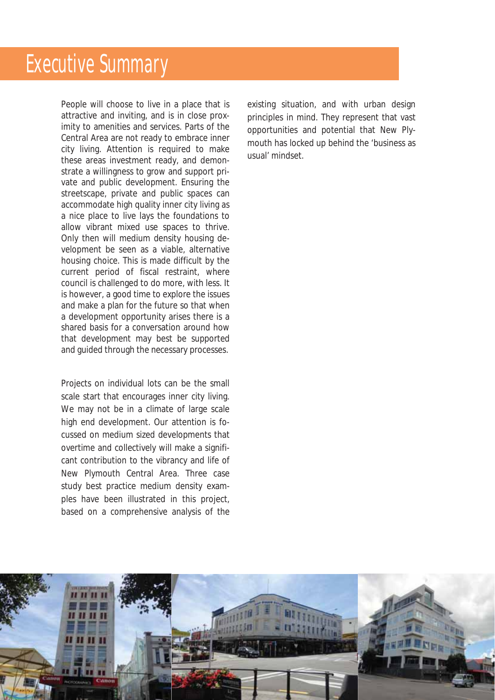People will choose to live in a place that is attractive and inviting, and is in close proximity to amenities and services. Parts of the Central Area are not ready to embrace inner city living. Attention is required to make these areas investment ready, and demonstrate a willingness to grow and support private and public development. Ensuring the streetscape, private and public spaces can accommodate high quality inner city living as a nice place to live lays the foundations to allow vibrant mixed use spaces to thrive. Only then will medium density housing development be seen as a viable, alternative housing choice. This is made difficult by the current period of fiscal restraint, where council is challenged to do more, with less. It is however, a good time to explore the issues and make a plan for the future so that when a development opportunity arises there is a shared basis for a conversation around how that development may best be supported and guided through the necessary processes.

Projects on individual lots can be the small scale start that encourages inner city living. We may not be in a climate of large scale high end development. Our attention is focussed on medium sized developments that overtime and collectively will make a significant contribution to the vibrancy and life of New Plymouth Central Area. Three case study best practice medium density examples have been illustrated in this project, based on a comprehensive analysis of the

existing situation, and with urban design principles in mind. They represent that vast opportunities and potential that New Plymouth has locked up behind the 'business as usual' mindset.

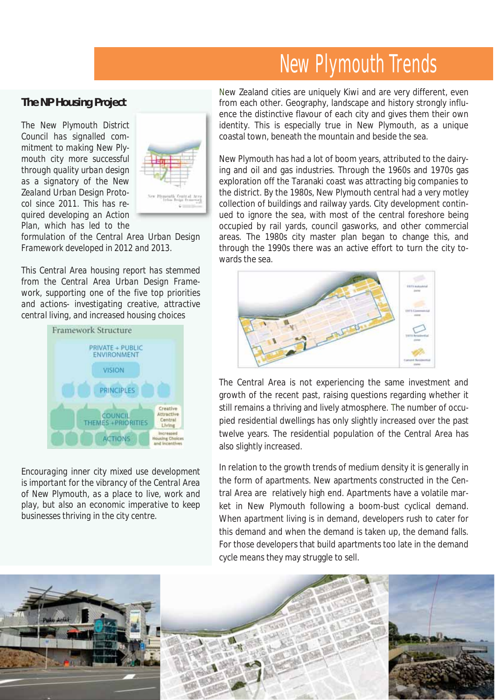### New Plymouth Trends

#### *The NP Housing Project*

*The New Plymouth District Council has signalled commitment to making New Plymouth city more successful through quality urban design as a signatory of the New Zealand Urban Design Protocol since 2011. This has required developing an Action Plan, which has led to the* 



*formulation of the Central Area Urban Design Framework developed in 2012 and 2013.* 

*This Central Area housing report has stemmed from the Central Area Urban Design Framework, supporting one of the five top priorities and actions- investigating creative, attractive central living, and increased housing choices* 



*Encouraging inner city mixed use development is important for the vibrancy of the Central Area of New Plymouth, as a place to live, work and play, but also an economic imperative to keep businesses thriving in the city centre.* 

New Zealand cities are uniquely Kiwi and are very different, even from each other. Geography, landscape and history strongly influence the distinctive flavour of each city and gives them their own identity. This is especially true in New Plymouth, as a unique coastal town, beneath the mountain and beside the sea.

New Plymouth has had a lot of boom years, attributed to the dairying and oil and gas industries. Through the 1960s and 1970s gas exploration off the Taranaki coast was attracting big companies to the district. By the 1980s, New Plymouth central had a very motley collection of buildings and railway yards. City development continued to ignore the sea, with most of the central foreshore being occupied by rail yards, council gasworks, and other commercial areas. The 1980s city master plan began to change this, and through the 1990s there was an active effort to turn the city towards the sea.



The Central Area is not experiencing the same investment and growth of the recent past, raising questions regarding whether it still remains a thriving and lively atmosphere. The number of occupied residential dwellings has only slightly increased over the past twelve years. The residential population of the Central Area has also slightly increased.

In relation to the growth trends of medium density it is generally in the form of apartments. New apartments constructed in the Central Area are relatively high end. Apartments have a volatile market in New Plymouth following a boom-bust cyclical demand. When apartment living is in demand, developers rush to cater for this demand and when the demand is taken up, the demand falls. For those developers that build apartments too late in the demand cycle means they may struggle to sell.

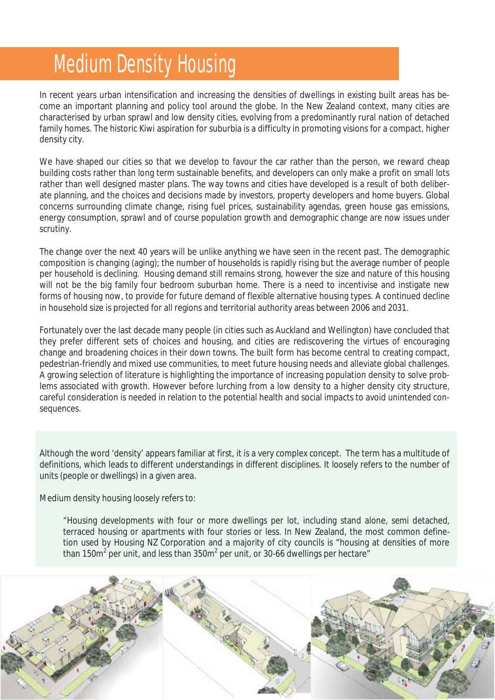### Medium Density Housing

In recent years urban intensification and increasing the densities of dwellings in existing built areas has become an important planning and policy tool around the globe. In the New Zealand context, many cities are characterised by urban sprawl and low density cities, evolving from a predominantly rural nation of detached family homes. The historic Kiwi aspiration for suburbia is a difficulty in promoting visions for a compact, higher density city.

We have shaped our cities so that we develop to favour the car rather than the person, we reward cheap building costs rather than long term sustainable benefits, and developers can only make a profit on small lots rather than well designed master plans. The way towns and cities have developed is a result of both deliberate planning, and the choices and decisions made by investors, property developers and home buyers. Global concerns surrounding climate change, rising fuel prices, sustainability agendas, green house gas emissions, energy consumption, sprawl and of course population growth and demographic change are now issues under scrutiny.

The change over the next 40 years will be unlike anything we have seen in the recent past. The demographic composition is changing (aging); the number of households is rapidly rising but the average number of people per household is declining. Housing demand still remains strong, however the size and nature of this housing will not be the big family four bedroom suburban home. There is a need to incentivise and instigate new forms of housing *now*, to provide for future demand of flexible alternative housing types. A continued decline in household size is projected for all regions and territorial authority areas between 2006 and 2031.

Fortunately over the last decade many people (in cities such as Auckland and Wellington) have concluded that they prefer different sets of choices and housing, and cities are rediscovering the virtues of encouraging change and broadening choices in their down towns. The built form has become central to creating compact, pedestrian-friendly and mixed use communities, to meet future housing needs and alleviate global challenges. A growing selection of literature is highlighting the importance of increasing population density to solve problems associated with growth. However before lurching from a low density to a higher density city structure, careful consideration is needed in relation to the potential health and social impacts to avoid unintended consequences.

Although the word 'density' appears familiar at first, it is a very complex concept. The term has a multitude of definitions, which leads to different understandings in different disciplines. It loosely refers to the number of units (people or dwellings) in a given area.

Medium density housing loosely refers to:

"Housing developments with four or more dwellings per lot, including stand alone, semi detached, terraced housing or apartments with four stories or less. In New Zealand, the most common definetion used by Housing NZ Corporation and a majority of city councils is "housing at densities of more than 150m $^2$  per unit, and less than 350m $^2$  per unit, or 30-66 dwellings per hectare"

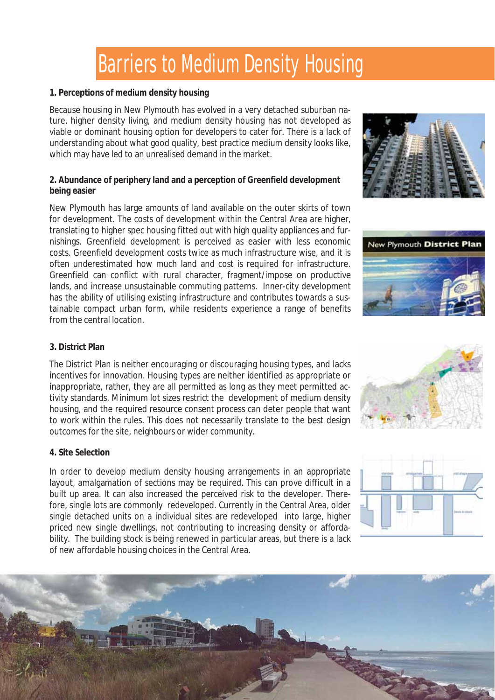# Barriers to Medium Density Housing

#### **1. Perceptions of medium density housing**

Because housing in New Plymouth has evolved in a very detached suburban nature, higher density living, and medium density housing has not developed as viable or dominant housing option for developers to cater for. There is a lack of understanding about what good quality, best practice medium density looks like, which may have led to an unrealised demand in the market.

#### **2. Abundance of periphery land and a perception of Greenfield development being easier**

New Plymouth has large amounts of land available on the outer skirts of town for development. The costs of development within the Central Area are higher, translating to higher spec housing fitted out with high quality appliances and furnishings. Greenfield development is perceived as easier with less economic costs. Greenfield development costs twice as much infrastructure wise, and it is often underestimated how much land and cost is required for infrastructure. Greenfield can conflict with rural character, fragment/impose on productive lands, and increase unsustainable commuting patterns. Inner-city development has the ability of utilising existing infrastructure and contributes towards a sustainable compact urban form, while residents experience a range of benefits from the central location.





#### **3. District Plan**

The District Plan is neither encouraging or discouraging housing types, and lacks incentives for innovation. Housing types are neither identified as appropriate or inappropriate, rather, they are all permitted as long as they meet permitted activity standards. Minimum lot sizes restrict the development of medium density housing, and the required resource consent process can deter people that want to work within the rules. This does not necessarily translate to the best design outcomes for the site, neighbours or wider community.

#### **4. Site Selection**

In order to develop medium density housing arrangements in an appropriate layout, amalgamation of sections may be required. This can prove difficult in a built up area. It can also increased the perceived risk to the developer. Therefore, single lots are commonly redeveloped. Currently in the Central Area, older single detached units on a individual sites are redeveloped into large, higher priced new single dwellings, not contributing to increasing density or affordability. The building stock is being renewed in particular areas, but there is a lack of *new affordable* housing choices in the Central Area.



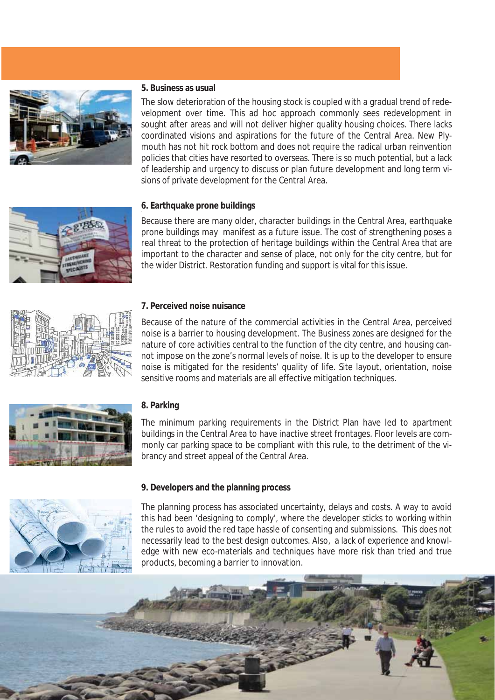

#### **5. Business as usual**

The slow deterioration of the housing stock is coupled with a gradual trend of redevelopment over time. This ad hoc approach commonly sees redevelopment in sought after areas and will not deliver higher quality housing choices. There lacks coordinated visions and aspirations for the future of the Central Area. New Plymouth has not hit rock bottom and does not require the radical urban reinvention policies that cities have resorted to overseas. There is so much potential, but a lack of leadership and urgency to discuss or plan future development and long term visions of private development for the Central Area.



Because there are many older, character buildings in the Central Area, earthquake prone buildings may manifest as a future issue. The cost of strengthening poses a real threat to the protection of heritage buildings within the Central Area that are important to the character and sense of place, not only for the city centre, but for the wider District. Restoration funding and support is vital for this issue.



#### **7. Perceived noise nuisance**

Because of the nature of the commercial activities in the Central Area, perceived noise is a barrier to housing development. The Business zones are designed for the nature of core activities central to the function of the city centre, and housing cannot impose on the zone's normal levels of noise. It is up to the developer to ensure noise is mitigated for the residents' quality of life. Site layout, orientation, noise sensitive rooms and materials are all effective mitigation techniques.



#### **8. Parking**

The minimum parking requirements in the District Plan have led to apartment buildings in the Central Area to have inactive street frontages. Floor levels are commonly car parking space to be compliant with this rule, to the detriment of the vibrancy and street appeal of the Central Area.

#### **9. Developers and the planning process**

The planning process has associated uncertainty, delays and costs. A way to avoid this had been 'designing to comply', where the developer sticks to working within the rules to avoid the red tape hassle of consenting and submissions. This does not necessarily lead to the best design outcomes. Also, a lack of experience and knowledge with new eco-materials and techniques have more risk than tried and true products, becoming a barrier to innovation.

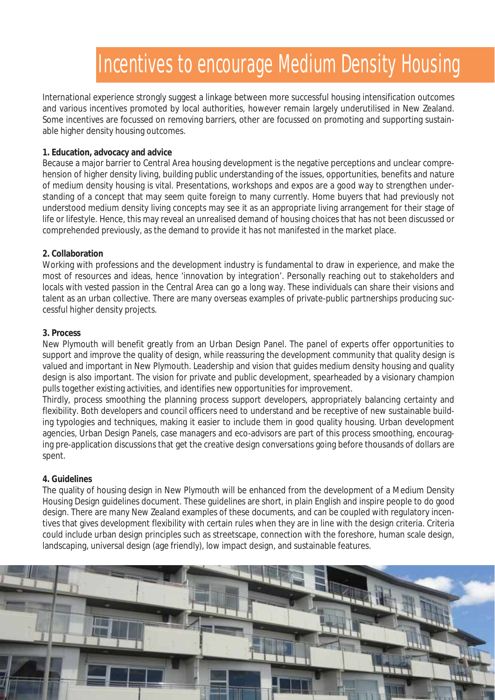# Incentives to encourage Medium Density Housing

International experience strongly suggest a linkage between more successful housing intensification outcomes and various incentives promoted by local authorities, however remain largely underutilised in New Zealand. Some incentives are focussed on removing barriers, other are focussed on promoting and supporting sustainable higher density housing outcomes.

#### **1. Education, advocacy and advice**

Because a major barrier to Central Area housing development is the negative perceptions and unclear comprehension of higher density living, building public understanding of the issues, opportunities, benefits and nature of medium density housing is vital. Presentations, workshops and expos are a good way to strengthen understanding of a concept that may seem quite foreign to many currently. Home buyers that had previously not understood medium density living concepts may see it as an appropriate living arrangement for their stage of life or lifestyle. Hence, this may reveal an unrealised demand of housing choices that has not been discussed or comprehended previously, as the demand to provide it has not manifested in the market place.

#### **2. Collaboration**

Working with professions and the development industry is fundamental to draw in experience, and make the most of resources and ideas, hence 'innovation by integration'. Personally reaching out to stakeholders and locals with vested passion in the Central Area can go a long way. These individuals can share their visions and talent as an urban collective. There are many overseas examples of private-public partnerships producing successful higher density projects.

#### **3. Process**

New Plymouth will benefit greatly from an Urban Design Panel. The panel of experts offer opportunities to support and improve the quality of design, while reassuring the development community that quality design is valued and important in New Plymouth. Leadership and vision that guides medium density housing and quality design is also important. The vision for private and public development, spearheaded by a visionary champion pulls together existing activities, and identifies new opportunities for improvement.

Thirdly, process smoothing the planning process support developers, appropriately balancing certainty and flexibility. Both developers and council officers need to understand and be receptive of new sustainable building typologies and techniques, making it easier to include them in good quality housing. Urban development agencies, Urban Design Panels, case managers and eco-advisors are part of this process smoothing, encouraging pre-application discussions that get the creative design conversations going before thousands of dollars are spent.

#### **4. Guidelines**

The quality of housing design in New Plymouth will be enhanced from the development of a Medium Density Housing Design guidelines document. These guidelines are short, in plain English and inspire people to do good design. There are many New Zealand examples of these documents, and can be coupled with regulatory incentives that gives development flexibility with certain rules when they are in line with the design criteria. Criteria could include urban design principles such as streetscape, connection with the foreshore, human scale design, landscaping, universal design (age friendly), low impact design, and sustainable features.

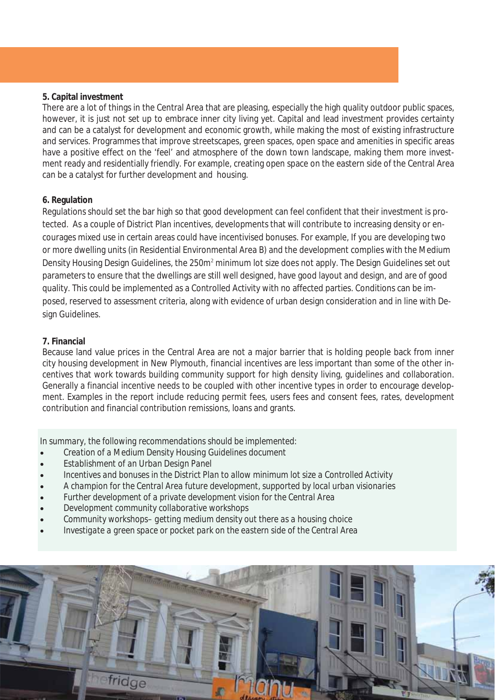#### **5. Capital investment**

There are a lot of things in the Central Area that are pleasing, especially the high quality outdoor public spaces, however, it is just not set up to embrace inner city living yet. Capital and lead investment provides certainty and can be a catalyst for development and economic growth, while making the most of existing infrastructure and services. Programmes that improve streetscapes, green spaces, open space and amenities in specific areas have a positive effect on the 'feel' and atmosphere of the down town landscape, making them more investment ready and residentially friendly. For example, creating open space on the eastern side of the Central Area can be a catalyst for further development and housing.

#### **6. Regulation**

Regulations should set the bar high so that good development can feel confident that their investment is protected. As a couple of District Plan incentives, developments that will contribute to increasing density or encourages mixed use in certain areas could have incentivised bonuses. For example, If you are developing two or more dwelling units (in Residential Environmental Area B) and the development complies with the Medium Density Housing Design Guidelines, the 250m<sup>2</sup> minimum lot size does not apply. The Design Guidelines set out parameters to ensure that the dwellings are still well designed, have good layout and design, and are of good quality. This could be implemented as a Controlled Activity with no affected parties. Conditions can be imposed, reserved to assessment criteria, along with evidence of urban design consideration and in line with Design Guidelines.

#### **7. Financial**

Because land value prices in the Central Area are not a major barrier that is holding people back from inner city housing development in New Plymouth, financial incentives are less important than some of the other incentives that work towards building community support for high density living, guidelines and collaboration. Generally a financial incentive needs to be coupled with other incentive types in order to encourage development. Examples in the report include reducing permit fees, users fees and consent fees, rates, development contribution and financial contribution remissions, loans and grants.

*In summary, the following recommendations should be implemented:* 

- x *Creation of a Medium Density Housing Guidelines document*
- x *Establishment of an Urban Design Panel*
- x *Incentives and bonuses in the District Plan to allow minimum lot size a Controlled Activity*
- x *A champion for the Central Area future development, supported by local urban visionaries*
- x *Further development of a private development vision for the Central Area*
- x *Development community collaborative workshops*
- x *Community workshops– getting medium density out there as a housing choice*
- x *Investigate a green space or pocket park on the eastern side of the Central Area*

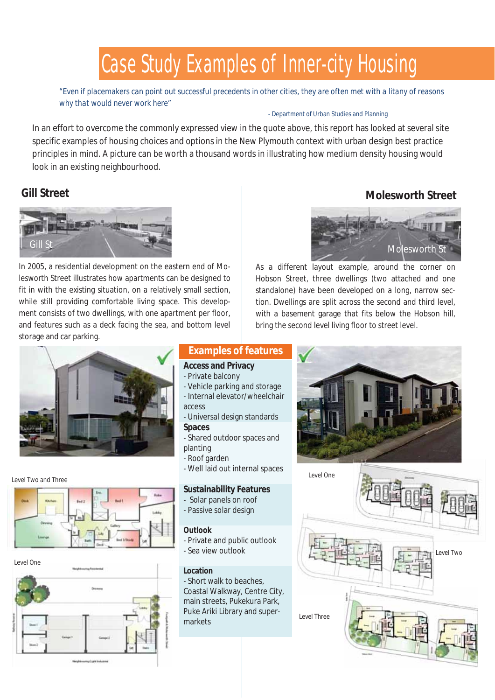## Case Study Examples of Inner-city Housing

*"Even if placemakers can point out successful precedents in other cities, they are often met with a litany of reasons why that would never work here"*

#### - Department of Urban Studies and Planning

In an effort to overcome the commonly expressed view in the quote above, this report has looked at several site specific examples of housing choices and options in the New Plymouth context with urban design best practice principles in mind. A picture can be worth a thousand words in illustrating how medium density housing would look in an existing neighbourhood.

### **Gill Street**



In 2005, a residential development on the eastern end of Molesworth Street illustrates how apartments can be designed to fit in with the existing situation, on a relatively small section, while still providing comfortable living space. This development consists of two dwellings, with one apartment per floor, and features such as a deck facing the sea, and bottom level storage and car parking.



**Molesworth Street** 

As a different layout example, around the corner on Hobson Street, three dwellings (two attached and one standalone) have been developed on a long, narrow section. Dwellings are split across the second and third level, with a basement garage that fits below the Hobson hill, bring the second level living floor to street level.



#### Level Two and Three





#### **Examples of features**

#### **Access and Privacy**

- Private balcony
- Vehicle parking and storage - Internal elevator/wheelchair access
- Universal design standards

#### **Spaces**

- Shared outdoor spaces and planting
- Roof garden
- Well laid out internal spaces

#### **Sustainability Features**

- Solar panels on roof
- Passive solar design

#### **Outlook**

- Private and public outlook - Sea view outlook

#### **Location**

- Short walk to beaches, Coastal Walkway, Centre City, main streets, Pukekura Park, Puke Ariki Library and supermarkets